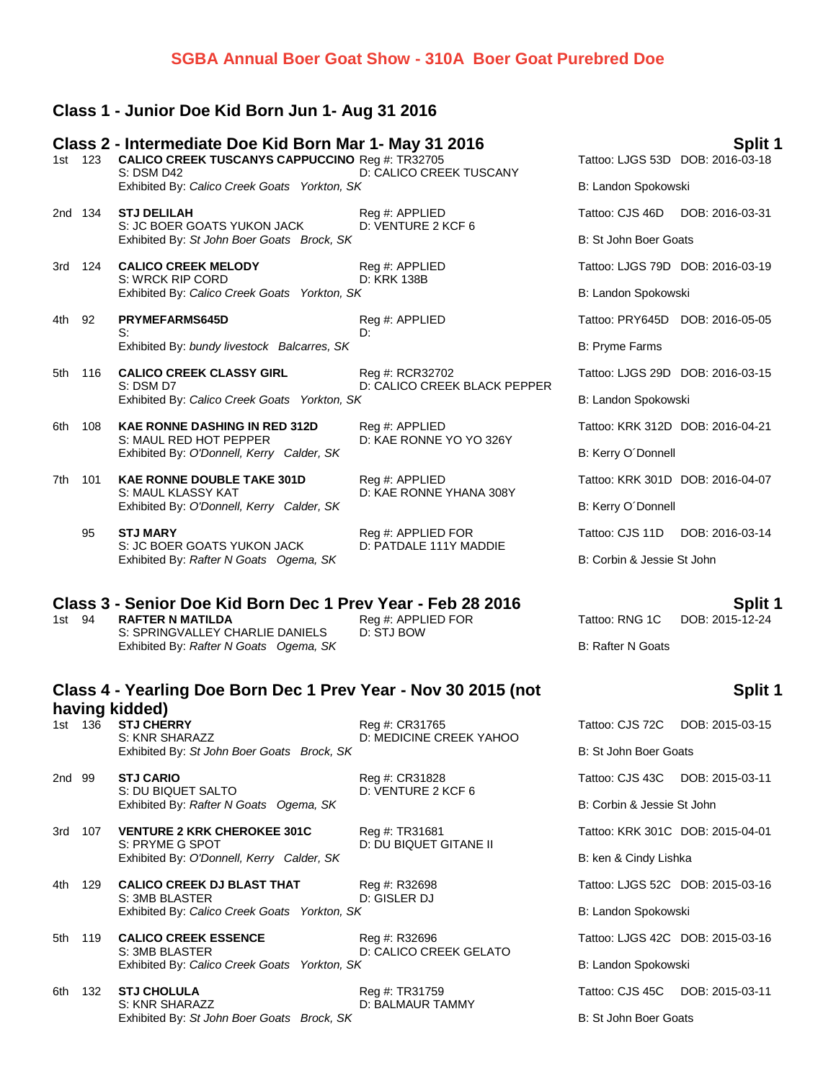## **SGBA Annual Boer Goat Show - 310A Boer Goat Purebred Doe**

## **Class 1 - Junior Doe Kid Born Jun 1- Aug 31 2016**

|        |         | Class 2 - Intermediate Doe Kid Born Mar 1- May 31 2016<br>1st 123 CALICO CREEK TUSCANYS CAPPUCCINO Reg #: TR32705 |                                      |                                  | Split 1<br>Tattoo: LJGS 53D DOB: 2016-03-18 |
|--------|---------|-------------------------------------------------------------------------------------------------------------------|--------------------------------------|----------------------------------|---------------------------------------------|
|        |         | S: DSM D42<br>Exhibited By: Calico Creek Goats Yorkton, SK                                                        | D: CALICO CREEK TUSCANY              | B: Landon Spokowski              |                                             |
|        | 2nd 134 | <b>STJ DELILAH</b><br>S: JC BOER GOATS YUKON JACK                                                                 | Reg #: APPLIED<br>D: VENTURE 2 KCF 6 | Tattoo: CJS 46D DOB: 2016-03-31  |                                             |
|        |         | Exhibited By: St John Boer Goats Brock, SK                                                                        |                                      | B: St John Boer Goats            |                                             |
|        | 3rd 124 | <b>CALICO CREEK MELODY</b><br>S: WRCK RIP CORD                                                                    | Reg #: APPLIED<br>D: KRK 138B        |                                  | Tattoo: LJGS 79D DOB: 2016-03-19            |
|        |         | Exhibited By: Calico Creek Goats Yorkton, SK                                                                      |                                      | B: Landon Spokowski              |                                             |
| 4th 92 |         | <b>PRYMEFARMS645D</b>                                                                                             | Reg #: APPLIED<br>D.                 |                                  | Tattoo: PRY645D DOB: 2016-05-05             |
|        |         | S:<br>Exhibited By: bundy livestock Balcarres, SK                                                                 |                                      | <b>B: Pryme Farms</b>            |                                             |
| 5th    | 116     | <b>CALICO CREEK CLASSY GIRL</b>                                                                                   | Reg #: RCR32702                      |                                  | Tattoo: LJGS 29D DOB: 2016-03-15            |
|        |         | S: DSM D7<br>Exhibited By: Calico Creek Goats Yorkton, SK                                                         | D: CALICO CREEK BLACK PEPPER         | B: Landon Spokowski              |                                             |
| 6th    | 108     | <b>KAE RONNE DASHING IN RED 312D</b>                                                                              | Reg #: APPLIED                       | Tattoo: KRK 312D DOB: 2016-04-21 |                                             |
|        |         | S: MAUL RED HOT PEPPER<br>Exhibited By: O'Donnell, Kerry Calder, SK                                               | D: KAE RONNE YO YO 326Y              | B: Kerry O'Donnell               |                                             |
| 7th    | 101     | <b>KAE RONNE DOUBLE TAKE 301D</b>                                                                                 | Reg #: APPLIED                       |                                  | Tattoo: KRK 301D DOB: 2016-04-07            |
|        |         | S: MAUL KLASSY KAT<br>Exhibited By: O'Donnell, Kerry Calder, SK                                                   | D: KAE RONNE YHANA 308Y              | B: Kerry O'Donnell               |                                             |
|        | 95      | <b>STJ MARY</b>                                                                                                   | Reg #: APPLIED FOR                   | Tattoo: CJS 11D                  | DOB: 2016-03-14                             |
|        |         | S: JC BOER GOATS YUKON JACK<br>Exhibited By: Rafter N Goats Ogema, SK                                             | D: PATDALE 111Y MADDIE               | B: Corbin & Jessie St John       |                                             |

# **Class 3 - Senior Doe Kid Born Dec 1 Prev Year - Feb 28 2016 Split 1**<br>1st 94 RAFTER N MATILDA Reg#: APPLIED FOR Tattoo: RNG 1C DOB: 2015-12-24

| 1st 94 | RAFTER N MATILDA                       | Reg #: APPLIED FOR |
|--------|----------------------------------------|--------------------|
|        | S: SPRINGVALLEY CHARLIE DANIELS        | D: STJ BOW         |
|        | Exhibited By: Rafter N Goats Ogema, SK |                    |

## **Class 4 - Yearling Doe Born Dec 1 Prev Year - Nov 30 2015 (not having kidded)** 1st 136 **STJ CHERRY** Reg #: CR31765 T<br>
Reg #: CR31765 Tattoo: CLARAZZ DOMEDICALE CREEK YAUGO

| 15 L<br>טכו | <b>JIJ UNERRI</b><br>S: KNR SHARAZZ<br>Exhibited By: St John Boer Goats Brock, SK | <b>NUTH. UNJITUS</b><br>D: MEDICINE CREEK YAHOO | Tall00. CJ3 72C DOD. 2013-03-13<br>B: St John Boer Goats |
|-------------|-----------------------------------------------------------------------------------|-------------------------------------------------|----------------------------------------------------------|
| 2nd 99      | <b>STJ CARIO</b>                                                                  | Reg #: CR31828                                  | Tattoo: CJS 43C DOB: 2015-03-11                          |
|             | S: DU BIQUET SALTO<br>Exhibited By: Rafter N Goats Ogema, SK                      | D: VENTURE 2 KCF 6                              | B: Corbin & Jessie St John                               |
| 107<br>3rd  | <b>VENTURE 2 KRK CHEROKEE 301C</b><br>S: PRYME G SPOT                             | Reg #: TR31681<br>D: DU BIQUET GITANE II        | Tattoo: KRK 301C DOB: 2015-04-01                         |
|             | Exhibited By: O'Donnell, Kerry Calder, SK                                         |                                                 | B: ken & Cindy Lishka                                    |
| 4th<br>129  | <b>CALICO CREEK DJ BLAST THAT</b><br>S: 3MB BLASTER                               | Reg #: R32698<br>D: GISLER DJ                   | Tattoo: LJGS 52C DOB: 2015-03-16                         |
|             | Exhibited By: Calico Creek Goats Yorkton, SK                                      |                                                 | B: Landon Spokowski                                      |
| 5th 119     | <b>CALICO CREEK ESSENCE</b><br>S: 3MB BLASTER                                     | Reg #: R32696<br>D: CALICO CREEK GELATO         | Tattoo: LJGS 42C DOB: 2015-03-16                         |
|             | Exhibited By: Calico Creek Goats Yorkton, SK                                      |                                                 | B: Landon Spokowski                                      |
|             |                                                                                   |                                                 |                                                          |

**6th 132 STJ CHOLULA** Tattoo: Reg #: TR31759 Tattoo: CHO Big 45C DOB: 2015-03-2015-03-2015-03-2015-03-2015-03-20 S: KNR SHARAZZ D: BALMAUR TAMMY Exhibited By: St John Boer Goats Brock, SK B: St John Boer Goats

**Split 1**

|                                    | attoo: CJS 72C DOB: 2015-03-15   |
|------------------------------------|----------------------------------|
| 3: St John Boer Goats              |                                  |
|                                    | attoo: CJS 43C DOB: 2015-03-11   |
| 3: Corbin & Jessie St John         |                                  |
|                                    | attoo: KRK 301C DOB: 2015-04-01  |
| 3: ken & Cindy Lishka              |                                  |
|                                    | attoo: LJGS 52C DOB: 2015-03-16  |
| 3: Landon Spokowski                |                                  |
|                                    | "attoo: LJGS 42C DOB: 2015-03-16 |
| 3: Landon Spokowski                |                                  |
|                                    | "attoo: CJS 45C  DOB: 2015-03-11 |
| <sup>2</sup> : St. John Boer Goats |                                  |

**B: Rafter N Goats**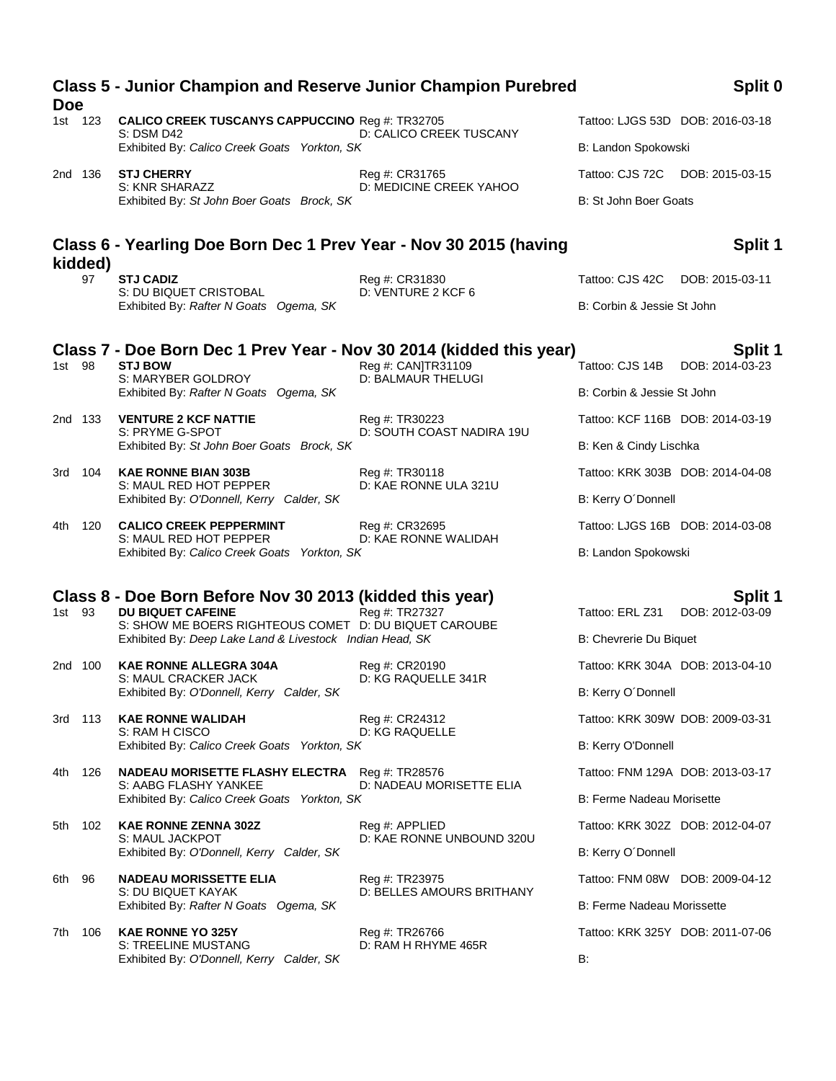| 1st 123<br><b>CALICO CREEK TUSCANYS CAPPUCCINO Reg #: TR32705</b><br>Tattoo: LJGS 53D DOB: 2016-03-18<br><b>S: DSM D42</b><br>D: CALICO CREEK TUSCANY<br>Exhibited By: Calico Creek Goats Yorkton, SK<br>B: Landon Spokowski<br><b>STJ CHERRY</b><br>Tattoo: CJS 72C DOB: 2015-03-15<br>2nd 136<br>Reg #: CR31765<br>D: MEDICINE CREEK YAHOO<br>S: KNR SHARAZZ<br>B: St John Boer Goats<br>Exhibited By: St John Boer Goats Brock, SK<br>Split 1<br>Class 6 - Yearling Doe Born Dec 1 Prev Year - Nov 30 2015 (having<br>kidded)<br><b>STJ CADIZ</b><br>97<br>Reg #: CR31830<br>Tattoo: CJS 42C<br>DOB: 2015-03-11<br>D: VENTURE 2 KCF 6<br>S: DU BIQUET CRISTOBAL<br>Exhibited By: Rafter N Goats Ogema, SK<br>B: Corbin & Jessie St John<br>Class 7 - Doe Born Dec 1 Prev Year - Nov 30 2014 (kidded this year)<br>Split 1<br>Reg #: CAN]TR31109<br>1st 98<br><b>STJ BOW</b><br>Tattoo: CJS 14B DOB: 2014-03-23<br>S: MARYBER GOLDROY<br><b>D: BALMAUR THELUGI</b><br>Exhibited By: Rafter N Goats Ogema, SK<br>B: Corbin & Jessie St John<br><b>VENTURE 2 KCF NATTIE</b><br>Reg #: TR30223<br>2nd 133<br>Tattoo: KCF 116B DOB: 2014-03-19<br>D: SOUTH COAST NADIRA 19U<br>S: PRYME G-SPOT<br>Exhibited By: St John Boer Goats Brock, SK<br>B: Ken & Cindy Lischka<br><b>KAE RONNE BIAN 303B</b><br>Reg #: TR30118<br>Tattoo: KRK 303B DOB: 2014-04-08<br>3rd 104<br>S: MAUL RED HOT PEPPER<br>D: KAE RONNE ULA 321U<br>Exhibited By: O'Donnell, Kerry Calder, SK<br>B: Kerry O'Donnell<br><b>CALICO CREEK PEPPERMINT</b><br>Reg #: CR32695<br>Tattoo: LJGS 16B DOB: 2014-03-08<br>4th 120<br>D: KAE RONNE WALIDAH<br>S: MAUL RED HOT PEPPER<br>B: Landon Spokowski<br>Exhibited By: Calico Creek Goats Yorkton, SK<br>Class 8 - Doe Born Before Nov 30 2013 (kidded this year)<br>Split 1<br><b>DU BIQUET CAFEINE</b><br>Reg #: TR27327<br>1st 93<br>Tattoo: ERL Z31 DOB: 2012-03-09<br>S: SHOW ME BOERS RIGHTEOUS COMET D: DU BIQUET CAROUBE<br>Exhibited By: Deep Lake Land & Livestock Indian Head, SK<br>B: Chevrerie Du Biquet<br><b>KAE RONNE ALLEGRA 304A</b><br>Tattoo: KRK 304A DOB: 2013-04-10<br>2nd 100<br>Reg #: CR20190<br>D: KG RAQUELLE 341R<br>S: MAUL CRACKER JACK<br>Exhibited By: O'Donnell, Kerry Calder, SK<br>B: Kerry O'Donnell<br>113<br><b>KAE RONNE WALIDAH</b><br>Tattoo: KRK 309W DOB: 2009-03-31<br>Reg #: CR24312<br>3rd -<br><b>D: KG RAQUELLE</b><br>S: RAM H CISCO<br>Exhibited By: Calico Creek Goats Yorkton, SK<br>B: Kerry O'Donnell<br>126<br><b>NADEAU MORISETTE FLASHY ELECTRA</b> Reg #: TR28576<br>Tattoo: FNM 129A DOB: 2013-03-17<br>4th<br>D: NADEAU MORISETTE ELIA<br>S: AABG FLASHY YANKEE<br>Exhibited By: Calico Creek Goats Yorkton, SK<br>B: Ferme Nadeau Morisette<br><b>KAE RONNE ZENNA 302Z</b><br>102<br>Reg #: APPLIED<br>Tattoo: KRK 302Z DOB: 2012-04-07<br>5th<br>D: KAE RONNE UNBOUND 320U<br>S: MAUL JACKPOT<br>Exhibited By: O'Donnell, Kerry Calder, SK<br>B: Kerry O'Donnell<br><b>NADEAU MORISSETTE ELIA</b><br>96<br>Reg #: TR23975<br>Tattoo: FNM 08W DOB: 2009-04-12<br>6th<br>S: DU BIQUET KAYAK<br>D: BELLES AMOURS BRITHANY<br>Exhibited By: Rafter N Goats Ogema, SK<br>B: Ferme Nadeau Morissette<br>106<br><b>KAE RONNE YO 325Y</b><br>Reg #: TR26766<br>Tattoo: KRK 325Y DOB: 2011-07-06<br>7th<br><b>S: TREELINE MUSTANG</b><br>D: RAM H RHYME 465R<br>Exhibited By: O'Donnell, Kerry Calder, SK<br>B: | <b>Doe</b> | <b>Class 5 - Junior Champion and Reserve Junior Champion Purebred</b> |  | Split 0 |
|----------------------------------------------------------------------------------------------------------------------------------------------------------------------------------------------------------------------------------------------------------------------------------------------------------------------------------------------------------------------------------------------------------------------------------------------------------------------------------------------------------------------------------------------------------------------------------------------------------------------------------------------------------------------------------------------------------------------------------------------------------------------------------------------------------------------------------------------------------------------------------------------------------------------------------------------------------------------------------------------------------------------------------------------------------------------------------------------------------------------------------------------------------------------------------------------------------------------------------------------------------------------------------------------------------------------------------------------------------------------------------------------------------------------------------------------------------------------------------------------------------------------------------------------------------------------------------------------------------------------------------------------------------------------------------------------------------------------------------------------------------------------------------------------------------------------------------------------------------------------------------------------------------------------------------------------------------------------------------------------------------------------------------------------------------------------------------------------------------------------------------------------------------------------------------------------------------------------------------------------------------------------------------------------------------------------------------------------------------------------------------------------------------------------------------------------------------------------------------------------------------------------------------------------------------------------------------------------------------------------------------------------------------------------------------------------------------------------------------------------------------------------------------------------------------------------------------------------------------------------------------------------------------------------------------------------------------------------------------------------------------------------------------------------------------------------------------------------------------------------------------------------------------------------------------------------------------------------------------------------------------------------------------------------------------------------------------------------------------------------------------------|------------|-----------------------------------------------------------------------|--|---------|
|                                                                                                                                                                                                                                                                                                                                                                                                                                                                                                                                                                                                                                                                                                                                                                                                                                                                                                                                                                                                                                                                                                                                                                                                                                                                                                                                                                                                                                                                                                                                                                                                                                                                                                                                                                                                                                                                                                                                                                                                                                                                                                                                                                                                                                                                                                                                                                                                                                                                                                                                                                                                                                                                                                                                                                                                                                                                                                                                                                                                                                                                                                                                                                                                                                                                                                                                                                                        |            |                                                                       |  |         |
|                                                                                                                                                                                                                                                                                                                                                                                                                                                                                                                                                                                                                                                                                                                                                                                                                                                                                                                                                                                                                                                                                                                                                                                                                                                                                                                                                                                                                                                                                                                                                                                                                                                                                                                                                                                                                                                                                                                                                                                                                                                                                                                                                                                                                                                                                                                                                                                                                                                                                                                                                                                                                                                                                                                                                                                                                                                                                                                                                                                                                                                                                                                                                                                                                                                                                                                                                                                        |            |                                                                       |  |         |
|                                                                                                                                                                                                                                                                                                                                                                                                                                                                                                                                                                                                                                                                                                                                                                                                                                                                                                                                                                                                                                                                                                                                                                                                                                                                                                                                                                                                                                                                                                                                                                                                                                                                                                                                                                                                                                                                                                                                                                                                                                                                                                                                                                                                                                                                                                                                                                                                                                                                                                                                                                                                                                                                                                                                                                                                                                                                                                                                                                                                                                                                                                                                                                                                                                                                                                                                                                                        |            |                                                                       |  |         |
|                                                                                                                                                                                                                                                                                                                                                                                                                                                                                                                                                                                                                                                                                                                                                                                                                                                                                                                                                                                                                                                                                                                                                                                                                                                                                                                                                                                                                                                                                                                                                                                                                                                                                                                                                                                                                                                                                                                                                                                                                                                                                                                                                                                                                                                                                                                                                                                                                                                                                                                                                                                                                                                                                                                                                                                                                                                                                                                                                                                                                                                                                                                                                                                                                                                                                                                                                                                        |            |                                                                       |  |         |
|                                                                                                                                                                                                                                                                                                                                                                                                                                                                                                                                                                                                                                                                                                                                                                                                                                                                                                                                                                                                                                                                                                                                                                                                                                                                                                                                                                                                                                                                                                                                                                                                                                                                                                                                                                                                                                                                                                                                                                                                                                                                                                                                                                                                                                                                                                                                                                                                                                                                                                                                                                                                                                                                                                                                                                                                                                                                                                                                                                                                                                                                                                                                                                                                                                                                                                                                                                                        |            |                                                                       |  |         |
|                                                                                                                                                                                                                                                                                                                                                                                                                                                                                                                                                                                                                                                                                                                                                                                                                                                                                                                                                                                                                                                                                                                                                                                                                                                                                                                                                                                                                                                                                                                                                                                                                                                                                                                                                                                                                                                                                                                                                                                                                                                                                                                                                                                                                                                                                                                                                                                                                                                                                                                                                                                                                                                                                                                                                                                                                                                                                                                                                                                                                                                                                                                                                                                                                                                                                                                                                                                        |            |                                                                       |  |         |
|                                                                                                                                                                                                                                                                                                                                                                                                                                                                                                                                                                                                                                                                                                                                                                                                                                                                                                                                                                                                                                                                                                                                                                                                                                                                                                                                                                                                                                                                                                                                                                                                                                                                                                                                                                                                                                                                                                                                                                                                                                                                                                                                                                                                                                                                                                                                                                                                                                                                                                                                                                                                                                                                                                                                                                                                                                                                                                                                                                                                                                                                                                                                                                                                                                                                                                                                                                                        |            |                                                                       |  |         |
|                                                                                                                                                                                                                                                                                                                                                                                                                                                                                                                                                                                                                                                                                                                                                                                                                                                                                                                                                                                                                                                                                                                                                                                                                                                                                                                                                                                                                                                                                                                                                                                                                                                                                                                                                                                                                                                                                                                                                                                                                                                                                                                                                                                                                                                                                                                                                                                                                                                                                                                                                                                                                                                                                                                                                                                                                                                                                                                                                                                                                                                                                                                                                                                                                                                                                                                                                                                        |            |                                                                       |  |         |
|                                                                                                                                                                                                                                                                                                                                                                                                                                                                                                                                                                                                                                                                                                                                                                                                                                                                                                                                                                                                                                                                                                                                                                                                                                                                                                                                                                                                                                                                                                                                                                                                                                                                                                                                                                                                                                                                                                                                                                                                                                                                                                                                                                                                                                                                                                                                                                                                                                                                                                                                                                                                                                                                                                                                                                                                                                                                                                                                                                                                                                                                                                                                                                                                                                                                                                                                                                                        |            |                                                                       |  |         |
|                                                                                                                                                                                                                                                                                                                                                                                                                                                                                                                                                                                                                                                                                                                                                                                                                                                                                                                                                                                                                                                                                                                                                                                                                                                                                                                                                                                                                                                                                                                                                                                                                                                                                                                                                                                                                                                                                                                                                                                                                                                                                                                                                                                                                                                                                                                                                                                                                                                                                                                                                                                                                                                                                                                                                                                                                                                                                                                                                                                                                                                                                                                                                                                                                                                                                                                                                                                        |            |                                                                       |  |         |
|                                                                                                                                                                                                                                                                                                                                                                                                                                                                                                                                                                                                                                                                                                                                                                                                                                                                                                                                                                                                                                                                                                                                                                                                                                                                                                                                                                                                                                                                                                                                                                                                                                                                                                                                                                                                                                                                                                                                                                                                                                                                                                                                                                                                                                                                                                                                                                                                                                                                                                                                                                                                                                                                                                                                                                                                                                                                                                                                                                                                                                                                                                                                                                                                                                                                                                                                                                                        |            |                                                                       |  |         |
|                                                                                                                                                                                                                                                                                                                                                                                                                                                                                                                                                                                                                                                                                                                                                                                                                                                                                                                                                                                                                                                                                                                                                                                                                                                                                                                                                                                                                                                                                                                                                                                                                                                                                                                                                                                                                                                                                                                                                                                                                                                                                                                                                                                                                                                                                                                                                                                                                                                                                                                                                                                                                                                                                                                                                                                                                                                                                                                                                                                                                                                                                                                                                                                                                                                                                                                                                                                        |            |                                                                       |  |         |
|                                                                                                                                                                                                                                                                                                                                                                                                                                                                                                                                                                                                                                                                                                                                                                                                                                                                                                                                                                                                                                                                                                                                                                                                                                                                                                                                                                                                                                                                                                                                                                                                                                                                                                                                                                                                                                                                                                                                                                                                                                                                                                                                                                                                                                                                                                                                                                                                                                                                                                                                                                                                                                                                                                                                                                                                                                                                                                                                                                                                                                                                                                                                                                                                                                                                                                                                                                                        |            |                                                                       |  |         |
|                                                                                                                                                                                                                                                                                                                                                                                                                                                                                                                                                                                                                                                                                                                                                                                                                                                                                                                                                                                                                                                                                                                                                                                                                                                                                                                                                                                                                                                                                                                                                                                                                                                                                                                                                                                                                                                                                                                                                                                                                                                                                                                                                                                                                                                                                                                                                                                                                                                                                                                                                                                                                                                                                                                                                                                                                                                                                                                                                                                                                                                                                                                                                                                                                                                                                                                                                                                        |            |                                                                       |  |         |
|                                                                                                                                                                                                                                                                                                                                                                                                                                                                                                                                                                                                                                                                                                                                                                                                                                                                                                                                                                                                                                                                                                                                                                                                                                                                                                                                                                                                                                                                                                                                                                                                                                                                                                                                                                                                                                                                                                                                                                                                                                                                                                                                                                                                                                                                                                                                                                                                                                                                                                                                                                                                                                                                                                                                                                                                                                                                                                                                                                                                                                                                                                                                                                                                                                                                                                                                                                                        |            |                                                                       |  |         |
|                                                                                                                                                                                                                                                                                                                                                                                                                                                                                                                                                                                                                                                                                                                                                                                                                                                                                                                                                                                                                                                                                                                                                                                                                                                                                                                                                                                                                                                                                                                                                                                                                                                                                                                                                                                                                                                                                                                                                                                                                                                                                                                                                                                                                                                                                                                                                                                                                                                                                                                                                                                                                                                                                                                                                                                                                                                                                                                                                                                                                                                                                                                                                                                                                                                                                                                                                                                        |            |                                                                       |  |         |
|                                                                                                                                                                                                                                                                                                                                                                                                                                                                                                                                                                                                                                                                                                                                                                                                                                                                                                                                                                                                                                                                                                                                                                                                                                                                                                                                                                                                                                                                                                                                                                                                                                                                                                                                                                                                                                                                                                                                                                                                                                                                                                                                                                                                                                                                                                                                                                                                                                                                                                                                                                                                                                                                                                                                                                                                                                                                                                                                                                                                                                                                                                                                                                                                                                                                                                                                                                                        |            |                                                                       |  |         |
|                                                                                                                                                                                                                                                                                                                                                                                                                                                                                                                                                                                                                                                                                                                                                                                                                                                                                                                                                                                                                                                                                                                                                                                                                                                                                                                                                                                                                                                                                                                                                                                                                                                                                                                                                                                                                                                                                                                                                                                                                                                                                                                                                                                                                                                                                                                                                                                                                                                                                                                                                                                                                                                                                                                                                                                                                                                                                                                                                                                                                                                                                                                                                                                                                                                                                                                                                                                        |            |                                                                       |  |         |
|                                                                                                                                                                                                                                                                                                                                                                                                                                                                                                                                                                                                                                                                                                                                                                                                                                                                                                                                                                                                                                                                                                                                                                                                                                                                                                                                                                                                                                                                                                                                                                                                                                                                                                                                                                                                                                                                                                                                                                                                                                                                                                                                                                                                                                                                                                                                                                                                                                                                                                                                                                                                                                                                                                                                                                                                                                                                                                                                                                                                                                                                                                                                                                                                                                                                                                                                                                                        |            |                                                                       |  |         |
|                                                                                                                                                                                                                                                                                                                                                                                                                                                                                                                                                                                                                                                                                                                                                                                                                                                                                                                                                                                                                                                                                                                                                                                                                                                                                                                                                                                                                                                                                                                                                                                                                                                                                                                                                                                                                                                                                                                                                                                                                                                                                                                                                                                                                                                                                                                                                                                                                                                                                                                                                                                                                                                                                                                                                                                                                                                                                                                                                                                                                                                                                                                                                                                                                                                                                                                                                                                        |            |                                                                       |  |         |
|                                                                                                                                                                                                                                                                                                                                                                                                                                                                                                                                                                                                                                                                                                                                                                                                                                                                                                                                                                                                                                                                                                                                                                                                                                                                                                                                                                                                                                                                                                                                                                                                                                                                                                                                                                                                                                                                                                                                                                                                                                                                                                                                                                                                                                                                                                                                                                                                                                                                                                                                                                                                                                                                                                                                                                                                                                                                                                                                                                                                                                                                                                                                                                                                                                                                                                                                                                                        |            |                                                                       |  |         |
|                                                                                                                                                                                                                                                                                                                                                                                                                                                                                                                                                                                                                                                                                                                                                                                                                                                                                                                                                                                                                                                                                                                                                                                                                                                                                                                                                                                                                                                                                                                                                                                                                                                                                                                                                                                                                                                                                                                                                                                                                                                                                                                                                                                                                                                                                                                                                                                                                                                                                                                                                                                                                                                                                                                                                                                                                                                                                                                                                                                                                                                                                                                                                                                                                                                                                                                                                                                        |            |                                                                       |  |         |
|                                                                                                                                                                                                                                                                                                                                                                                                                                                                                                                                                                                                                                                                                                                                                                                                                                                                                                                                                                                                                                                                                                                                                                                                                                                                                                                                                                                                                                                                                                                                                                                                                                                                                                                                                                                                                                                                                                                                                                                                                                                                                                                                                                                                                                                                                                                                                                                                                                                                                                                                                                                                                                                                                                                                                                                                                                                                                                                                                                                                                                                                                                                                                                                                                                                                                                                                                                                        |            |                                                                       |  |         |
|                                                                                                                                                                                                                                                                                                                                                                                                                                                                                                                                                                                                                                                                                                                                                                                                                                                                                                                                                                                                                                                                                                                                                                                                                                                                                                                                                                                                                                                                                                                                                                                                                                                                                                                                                                                                                                                                                                                                                                                                                                                                                                                                                                                                                                                                                                                                                                                                                                                                                                                                                                                                                                                                                                                                                                                                                                                                                                                                                                                                                                                                                                                                                                                                                                                                                                                                                                                        |            |                                                                       |  |         |
|                                                                                                                                                                                                                                                                                                                                                                                                                                                                                                                                                                                                                                                                                                                                                                                                                                                                                                                                                                                                                                                                                                                                                                                                                                                                                                                                                                                                                                                                                                                                                                                                                                                                                                                                                                                                                                                                                                                                                                                                                                                                                                                                                                                                                                                                                                                                                                                                                                                                                                                                                                                                                                                                                                                                                                                                                                                                                                                                                                                                                                                                                                                                                                                                                                                                                                                                                                                        |            |                                                                       |  |         |
|                                                                                                                                                                                                                                                                                                                                                                                                                                                                                                                                                                                                                                                                                                                                                                                                                                                                                                                                                                                                                                                                                                                                                                                                                                                                                                                                                                                                                                                                                                                                                                                                                                                                                                                                                                                                                                                                                                                                                                                                                                                                                                                                                                                                                                                                                                                                                                                                                                                                                                                                                                                                                                                                                                                                                                                                                                                                                                                                                                                                                                                                                                                                                                                                                                                                                                                                                                                        |            |                                                                       |  |         |
|                                                                                                                                                                                                                                                                                                                                                                                                                                                                                                                                                                                                                                                                                                                                                                                                                                                                                                                                                                                                                                                                                                                                                                                                                                                                                                                                                                                                                                                                                                                                                                                                                                                                                                                                                                                                                                                                                                                                                                                                                                                                                                                                                                                                                                                                                                                                                                                                                                                                                                                                                                                                                                                                                                                                                                                                                                                                                                                                                                                                                                                                                                                                                                                                                                                                                                                                                                                        |            |                                                                       |  |         |
|                                                                                                                                                                                                                                                                                                                                                                                                                                                                                                                                                                                                                                                                                                                                                                                                                                                                                                                                                                                                                                                                                                                                                                                                                                                                                                                                                                                                                                                                                                                                                                                                                                                                                                                                                                                                                                                                                                                                                                                                                                                                                                                                                                                                                                                                                                                                                                                                                                                                                                                                                                                                                                                                                                                                                                                                                                                                                                                                                                                                                                                                                                                                                                                                                                                                                                                                                                                        |            |                                                                       |  |         |
|                                                                                                                                                                                                                                                                                                                                                                                                                                                                                                                                                                                                                                                                                                                                                                                                                                                                                                                                                                                                                                                                                                                                                                                                                                                                                                                                                                                                                                                                                                                                                                                                                                                                                                                                                                                                                                                                                                                                                                                                                                                                                                                                                                                                                                                                                                                                                                                                                                                                                                                                                                                                                                                                                                                                                                                                                                                                                                                                                                                                                                                                                                                                                                                                                                                                                                                                                                                        |            |                                                                       |  |         |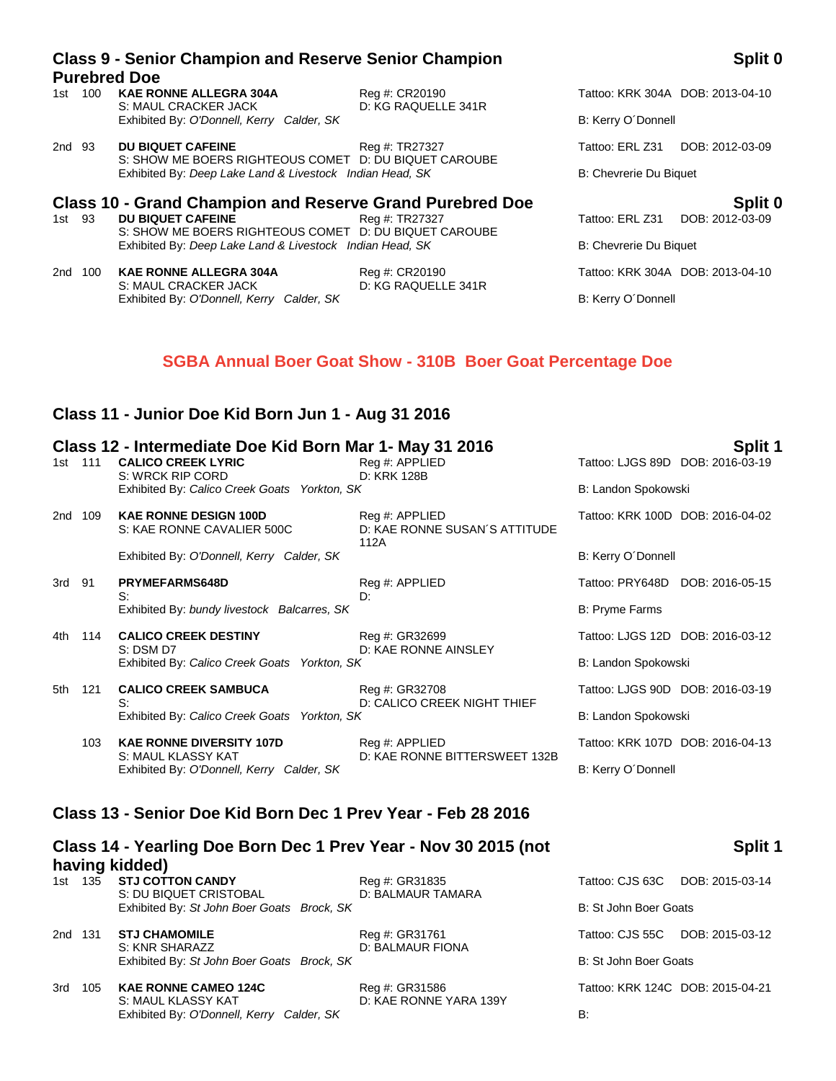| 100<br>1st | <b>KAE RONNE ALLEGRA 304A</b><br>S: MAUL CRACKER JACK                             | Reg #: CR20190<br>D: KG RAQUELLE 341R |                        | Tattoo: KRK 304A DOB: 2013-04-10 |
|------------|-----------------------------------------------------------------------------------|---------------------------------------|------------------------|----------------------------------|
|            | Exhibited By: O'Donnell, Kerry Calder, SK                                         |                                       | B: Kerry O'Donnell     |                                  |
| 2nd 93     | <b>DU BIQUET CAFEINE</b><br>S: SHOW ME BOERS RIGHTEOUS COMET D: DU BIQUET CAROUBE | Reg #: TR27327                        | Tattoo: ERL Z31        | DOB: 2012-03-09                  |
|            | Exhibited By: Deep Lake Land & Livestock Indian Head, SK                          |                                       | B: Chevrerie Du Biguet |                                  |
|            | <b>Class 10 - Grand Champion and Reserve Grand Purebred Doe</b>                   |                                       |                        | Split 0                          |
| 1st 93     | <b>DU BIQUET CAFEINE</b>                                                          | Reg #: TR27327                        | Tattoo: ERL Z31        | DOB: 2012-03-09                  |
|            |                                                                                   |                                       |                        |                                  |

S: SHOW ME BOERS RIGHTEOUS COMET D: DU BIQUET CAROUBE Exhibited By: *Deep Lake Land & Livestock Indian Head, SK* B: Chevrerie Du Biquet

2nd 100 **KAE RONNE ALLEGRA 304A** Reg #: CR20190 **Tattoo: KRK 304A DOB: 2013-04-10** CRACKER JACK D: KG RAQUELLE 341R S: MAUL CRACKER JACK Exhibited By: *O'Donnell, Kerry Calder, SK* B: Kerry O'Donnell

## **Class 9 - Senior Champion and Reserve Senior Champion Purebred Doe**

04A DOB: 2013-04-10

## **SGBA Annual Boer Goat Show - 310B Boer Goat Percentage Doe**

## **Class 11 - Junior Doe Kid Born Jun 1 - Aug 31 2016**

|         |     | Class 12 - Intermediate Doe Kid Born Mar 1- May 31 2016          |                                                         |                                  | Split 1 |
|---------|-----|------------------------------------------------------------------|---------------------------------------------------------|----------------------------------|---------|
| 1st     | 111 | <b>CALICO CREEK LYRIC</b>                                        | Reg #: APPLIED                                          | Tattoo: LJGS 89D DOB: 2016-03-19 |         |
|         |     | S: WRCK RIP CORD<br>Exhibited By: Calico Creek Goats Yorkton, SK | D: KRK 128B                                             | B: Landon Spokowski              |         |
| 2nd 109 |     | <b>KAE RONNE DESIGN 100D</b><br>S: KAE RONNE CAVALIER 500C       | Reg #: APPLIED<br>D: KAE RONNE SUSAN'S ATTITUDE<br>112A | Tattoo: KRK 100D DOB: 2016-04-02 |         |
|         |     | Exhibited By: O'Donnell, Kerry Calder, SK                        |                                                         | B: Kerry O'Donnell               |         |
| 3rd 91  |     | <b>PRYMEFARMS648D</b><br>S:                                      | Reg #: APPLIED<br>D:                                    | Tattoo: PRY648D DOB: 2016-05-15  |         |
|         |     | Exhibited By: bundy livestock Balcarres, SK                      |                                                         | B: Pryme Farms                   |         |
| 4th     | 114 | <b>CALICO CREEK DESTINY</b><br>$S:$ DSM D7                       | Reg #: GR32699<br>D: KAE RONNE AINSLEY                  | Tattoo: LJGS 12D DOB: 2016-03-12 |         |
|         |     | Exhibited By: Calico Creek Goats Yorkton, SK                     |                                                         | B: Landon Spokowski              |         |
| 5th     | 121 | <b>CALICO CREEK SAMBUCA</b><br>S:                                | Reg #: GR32708<br>D: CALICO CREEK NIGHT THIEF           | Tattoo: LJGS 90D DOB: 2016-03-19 |         |
|         |     | Exhibited By: Calico Creek Goats Yorkton, SK                     |                                                         | B: Landon Spokowski              |         |
|         | 103 | <b>KAE RONNE DIVERSITY 107D</b><br>S: MAUL KLASSY KAT            | Reg #: APPLIED<br>D: KAE RONNE BITTERSWEET 132B         | Tattoo: KRK 107D DOB: 2016-04-13 |         |
|         |     | Exhibited By: O'Donnell, Kerry Calder, SK                        |                                                         | B: Kerry O'Donnell               |         |
|         |     | Class 13 - Senior Doe Kid Born Dec 1 Prev Year - Feb 28 2016     |                                                         |                                  |         |
|         |     |                                                                  |                                                         |                                  |         |

## **Class 14 - Yearling Doe Born Dec 1 Prev Year - Nov 30 2015 (not having kidded) 1st 135 Reg #: GR31835 Tattoo: COTTON CANDR**

|  | 1st 135 <b>STJ COTTON CANDY</b>            | Reg #: GR31835    | Tattoo: CJS 63C DO    |
|--|--------------------------------------------|-------------------|-----------------------|
|  | S: DU BIQUET CRISTOBAL                     | D: BALMAUR TAMARA |                       |
|  | Exhibited By: St John Boer Goats Brock, SK |                   | B: St John Boer Goats |

2nd 131 **STJ CHAMOMILE** Reg #: GR31761 Tattoo: CISS 55 Tattoo: CHAMOMILE Reg #: GR31761 Tattoo: CJS 55: KNR SHARAZZ D: BALMAUR FIONA Exhibited By: St John Boer Goats Brock, SK B: St John Boer Goats B: St John Boer Goats B: St John Boer Goats B

3rd 105 **KAE RONNE CAMEO 124C** Reg #: GR31586 Tattoo: KRG 124C DOB: 2015-04-2121-2015-04-2121-2121-2015-04-2121-2015-04-2121-2121-2015-04-2015-04-2121-2015-04-2121-2015-04-2121-2121-2121-2015-04-2121-2015-04-2015-04-2121-2 S: MAUL KLASSY KAT D: KAE RONNE YARA 139Y Exhibited By: *O'Donnell, Kerry Calder, SK* B:

## **Split 1**

|                      | attoo: CJS 63C DOB: 2015-03-14  |
|----------------------|---------------------------------|
| : St John Boer Goats |                                 |
|                      | attoo: CJS 55C DOB: 2015-03-12  |
| : St John Boer Goats |                                 |
|                      | attoo: KRK 124C DOB: 2015-04-21 |
|                      |                                 |

## **Split 0**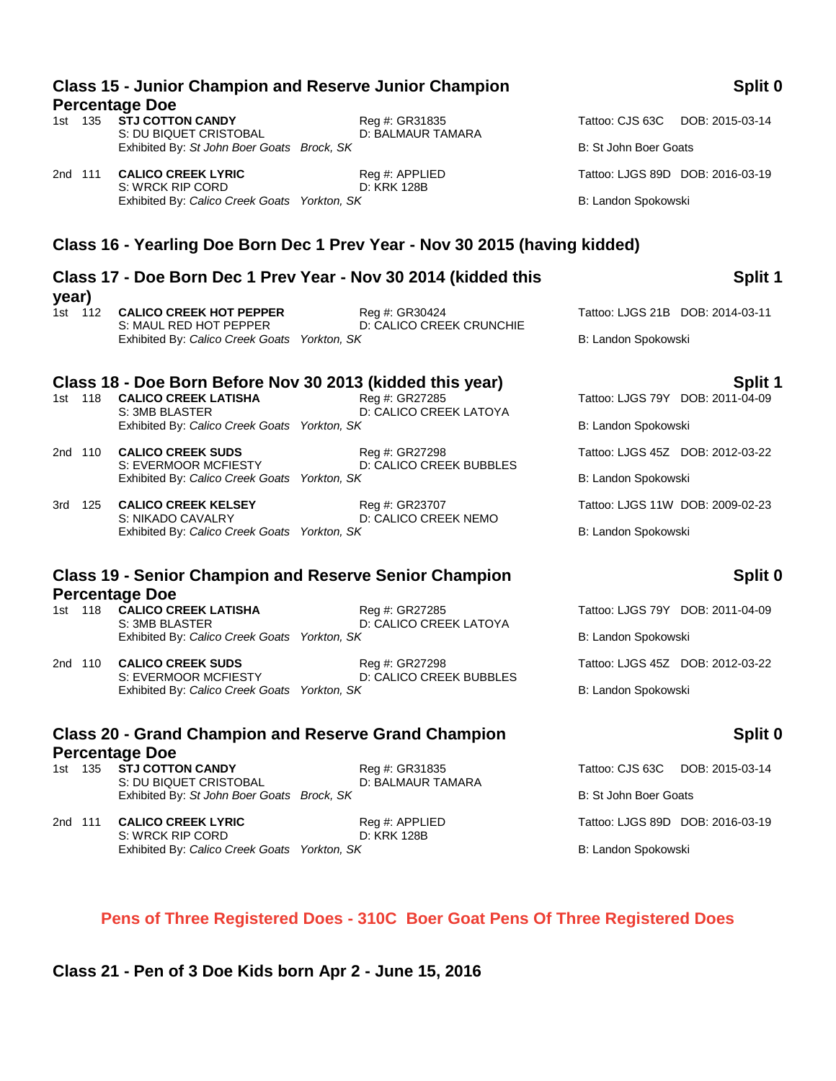| 2nd 111 | <b>CALICO CREEK LYRIC</b><br>S: WRCK RIP CORD                          | Reg #: APPLIED<br>D: KRK 128B                                              |                     | Tattoo: LJGS 89D DOB: 2016-03-19 |
|---------|------------------------------------------------------------------------|----------------------------------------------------------------------------|---------------------|----------------------------------|
|         | Exhibited By: Calico Creek Goats Yorkton, SK                           |                                                                            | B: Landon Spokowski |                                  |
|         |                                                                        | Class 16 - Yearling Doe Born Dec 1 Prev Year - Nov 30 2015 (having kidded) |                     |                                  |
| year)   |                                                                        | Class 17 - Doe Born Dec 1 Prev Year - Nov 30 2014 (kidded this             |                     | Split 1                          |
| 1st 112 | <b>CALICO CREEK HOT PEPPER</b>                                         | Reg #: GR30424                                                             |                     | Tattoo: LJGS 21B DOB: 2014-03-11 |
|         | S: MAUL RED HOT PEPPER<br>Exhibited By: Calico Creek Goats Yorkton, SK | D: CALICO CREEK CRUNCHIE                                                   | B: Landon Spokowski |                                  |
|         | Class 18 - Doe Born Before Nov 30 2013 (kidded this year)              |                                                                            |                     | Split 1                          |
|         | 1st 118 CALICO CREEK LATISHA                                           | Reg #: GR27285                                                             |                     | Tattoo: LJGS 79Y DOB: 2011-04-09 |

# **Class 15 - Junior Champion and Reserve Junior Champion**

1st 135 **STJ COTTON CANDY** Reg #: GR31835 Tattoo: CJS 63C DOB: 2015-03-14<br>S: DU BIQUET CRISTOBAL D: BALMAUR TAMARA S: DU BIQUET CRISTOBAL Exhibited By: St John Boer Goats Brock, SK B: St John Boer Goats B: St John Boer Goats

S: 3MB BLASTER D: CALICO CREEK LATOYA Exhibited By: *Calico Creek Goats Yorkton, SK* B: Landon Spokowski

2nd 110 **CALICO CREEK SUDS** Reg #: GR27298 Tattoo: LJGS 45Z DOB: 2012-03-22 S: EVERMOOR MCFIESTY D: CALICO CREEK BUBBLES Exhibited By: *Calico Creek Goats Yorkton, SK* B: Landon Spokowski

3rd 125 **CALICO CREEK KELSEY** Reg #: GR23707 Tattoo: LJGS 11W DOB: 2009-02-23 S: NIKADO CAVALRY D: CALICO CREEK NEMO Exhibited By: *Calico Creek Goats Yorkton, SK* B: Landon Spokowski

## **Class 19 - Senior Champion and Reserve Senior Champion Percentage Doe**

1st 118 **CALICO CREEK LATISHA** Reg #: GR27285 Tattoo: LJGS 79Y DOB: 2011-04-09 S: 3MB BLASTER D: CALICO CREEK LATOYA Exhibited By: *Calico Creek Goats Yorkton, SK* B: Landon Spokowski

2nd 110 **CALICO CREEK SUDS** Reg #: GR27298 Tattoo: LJGS 45Z DOB: 2012-03-22 S: EVERMOOR MCFIESTY D: CALICO CREEK BUBBLES Exhibited By: *Calico Creek Goats Yorkton, SK* B: Landon Spokowski

## **Class 20 - Grand Champion and Reserve Grand Champion Percentage Doe**<br>1st 135 STJ COTTON CANDY

S: DU BIQUET CRISTOBAL Exhibited By: *St John Boer Goats Brock, SK* B: St John Boer Goats Brock, SK B: St John Boer Goats

2nd 111 **CALICO CREEK LYRIC** Reg #: APPLIED Tattoo: LJGS 89D DOB: 2016-03-19 S: WRCK RIP CORD D: KRK 128B Exhibited By: *Calico Creek Goats Yorkton, SK* B: Landon Spokowski

# **Percentage Doe**

## **Split 0**

## **Split 0**

1st 135 **Reg #: GR31835** Tattoo: CJS 63C DOB: 2015-03-14<br>
D: BALMAUR TAMARA

## **Pens of Three Registered Does - 310C Boer Goat Pens Of Three Registered Does**

**Class 21 - Pen of 3 Doe Kids born Apr 2 - June 15, 2016**

## **Split 0**